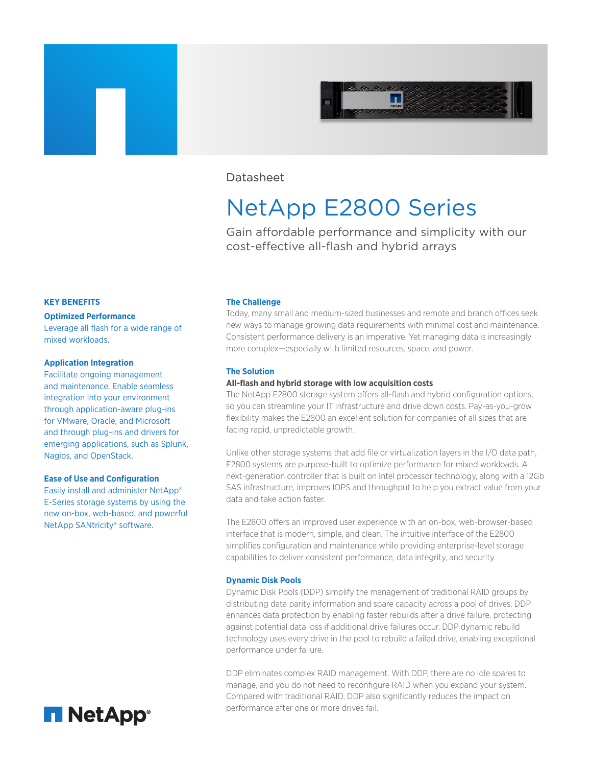

## Datasheet

# NetApp E2800 Series

Gain affordable performance and simplicity with our cost-effective all-flash and hybrid arrays

#### **KEY BENEFITS**

#### **Optimized Performance**

Leverage all flash for a wide range of mixed workloads.

#### **Application Integration**

Facilitate ongoing management and maintenance. Enable seamless integration into your environment through application-aware plug-ins for VMware, Oracle, and Microsoft and through plug-ins and drivers for emerging applications, such as Splunk, Nagios, and OpenStack.

#### **Ease of Use and Configuration**

Easily install and administer NetApp® E-Series storage systems by using the new on-box, web-based, and powerful NetApp SANtricity® software.



#### **The Challenge**

Today, many small and medium-sized businesses and remote and branch offices seek new ways to manage growing data requirements with minimal cost and maintenance. Consistent performance delivery is an imperative. Yet managing data is increasingly more complex—especially with limited resources, space, and power.

#### **The Solution**

#### **All-flash and hybrid storage with low acquisition costs**

The NetApp E2800 storage system offers all-flash and hybrid configuration options, so you can streamline your IT infrastructure and drive down costs. Pay-as-you-grow flexibility makes the E2800 an excellent solution for companies of all sizes that are facing rapid, unpredictable growth.

Unlike other storage systems that add file or virtualization layers in the I/O data path, E2800 systems are purpose-built to optimize performance for mixed workloads. A next-generation controller that is built on Intel processor technology, along with a 12Gb SAS infrastructure, improves IOPS and throughput to help you extract value from your data and take action faster.

The E2800 offers an improved user experience with an on-box, web-browser-based interface that is modern, simple, and clean. The intuitive interface of the E2800 simplifies configuration and maintenance while providing enterprise-level storage capabilities to deliver consistent performance, data integrity, and security.

#### **Dynamic Disk Pools**

Dynamic Disk Pools (DDP) simplify the management of traditional RAID groups by distributing data parity information and spare capacity across a pool of drives. DDP enhances data protection by enabling faster rebuilds after a drive failure, protecting against potential data loss if additional drive failures occur. DDP dynamic rebuild technology uses every drive in the pool to rebuild a failed drive, enabling exceptional performance under failure.

DDP eliminates complex RAID management. With DDP, there are no idle spares to manage, and you do not need to reconfigure RAID when you expand your system. Compared with traditional RAID, DDP also significantly reduces the impact on performance after one or more drives fail.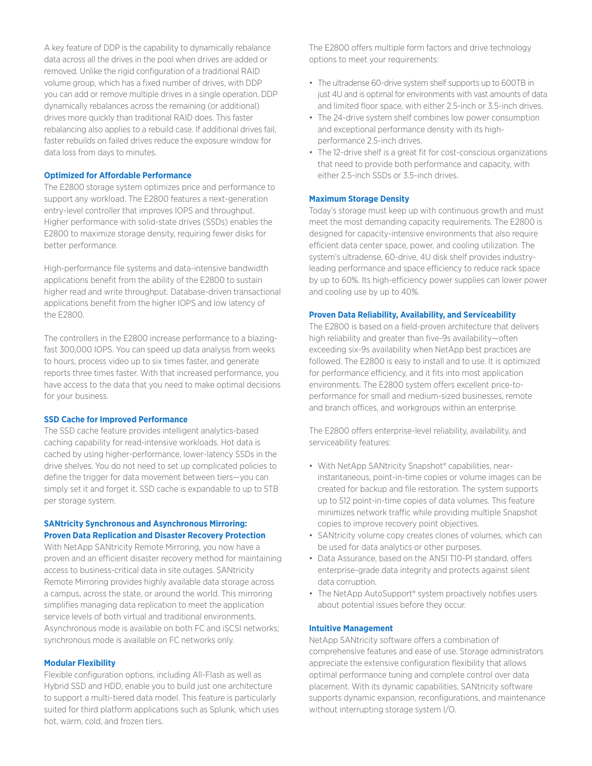A key feature of DDP is the capability to dynamically rebalance data across all the drives in the pool when drives are added or removed. Unlike the rigid configuration of a traditional RAID volume group, which has a fixed number of drives, with DDP you can add or remove multiple drives in a single operation. DDP dynamically rebalances across the remaining (or additional) drives more quickly than traditional RAID does. This faster rebalancing also applies to a rebuild case. If additional drives fail, faster rebuilds on failed drives reduce the exposure window for data loss from days to minutes.

#### **Optimized for Affordable Performance**

The E2800 storage system optimizes price and performance to support any workload. The E2800 features a next-generation entry-level controller that improves IOPS and throughput. Higher performance with solid-state drives (SSDs) enables the E2800 to maximize storage density, requiring fewer disks for better performance.

High-performance file systems and data-intensive bandwidth applications benefit from the ability of the E2800 to sustain higher read and write throughput. Database-driven transactional applications benefit from the higher IOPS and low latency of the E2800.

The controllers in the E2800 increase performance to a blazingfast 300,000 IOPS. You can speed up data analysis from weeks to hours, process video up to six times faster, and generate reports three times faster. With that increased performance, you have access to the data that you need to make optimal decisions for your business.

#### **SSD Cache for Improved Performance**

The SSD cache feature provides intelligent analytics-based caching capability for read-intensive workloads. Hot data is cached by using higher-performance, lower-latency SSDs in the drive shelves. You do not need to set up complicated policies to define the trigger for data movement between tiers—you can simply set it and forget it. SSD cache is expandable to up to 5TB per storage system.

#### **SANtricity Synchronous and Asynchronous Mirroring: Proven Data Replication and Disaster Recovery Protection**

With NetApp SANtricity Remote Mirroring, you now have a proven and an efficient disaster recovery method for maintaining access to business-critical data in site outages. SANtricity Remote Mirroring provides highly available data storage across a campus, across the state, or around the world. This mirroring simplifies managing data replication to meet the application service levels of both virtual and traditional environments. Asynchronous mode is available on both FC and iSCSI networks; synchronous mode is available on FC networks only.

#### **Modular Flexibility**

Flexible configuration options, including All-Flash as well as Hybrid SSD and HDD, enable you to build just one architecture to support a multi-tiered data model. This feature is particularly suited for third platform applications such as Splunk, which uses hot, warm, cold, and frozen tiers.

The E2800 offers multiple form factors and drive technology options to meet your requirements:

- The ultradense 60-drive system shelf supports up to 600TB in just 4U and is optimal for environments with vast amounts of data and limited floor space, with either 2.5-inch or 3.5-inch drives.
- The 24-drive system shelf combines low power consumption and exceptional performance density with its highperformance 2.5-inch drives.
- The 12-drive shelf is a great fit for cost-conscious organizations that need to provide both performance and capacity, with either 2.5-inch SSDs or 3.5-inch drives.

#### **Maximum Storage Density**

Today's storage must keep up with continuous growth and must meet the most demanding capacity requirements. The E2800 is designed for capacity-intensive environments that also require efficient data center space, power, and cooling utilization. The system's ultradense, 60-drive, 4U disk shelf provides industryleading performance and space efficiency to reduce rack space by up to 60%. Its high-efficiency power supplies can lower power and cooling use by up to 40%.

#### **Proven Data Reliability, Availability, and Serviceability**

The E2800 is based on a field-proven architecture that delivers high reliability and greater than five-9s availability—often exceeding six-9s availability when NetApp best practices are followed. The E2800 is easy to install and to use. It is optimized for performance efficiency, and it fits into most application environments. The E2800 system offers excellent price-toperformance for small and medium-sized businesses, remote and branch offices, and workgroups within an enterprise.

The E2800 offers enterprise-level reliability, availability, and serviceability features:

- With NetApp SANtricity Snapshot® capabilities, nearinstantaneous, point-in-time copies or volume images can be created for backup and file restoration. The system supports up to 512 point-in-time copies of data volumes. This feature minimizes network traffic while providing multiple Snapshot copies to improve recovery point objectives.
- SANtricity volume copy creates clones of volumes, which can be used for data analytics or other purposes.
- Data Assurance, based on the ANSI T10-PI standard, offers enterprise-grade data integrity and protects against silent data corruption.
- The NetApp AutoSupport® system proactively notifies users about potential issues before they occur.

#### **Intuitive Management**

NetApp SANtricity software offers a combination of comprehensive features and ease of use. Storage administrators appreciate the extensive configuration flexibility that allows optimal performance tuning and complete control over data placement. With its dynamic capabilities, SANtricity software supports dynamic expansion, reconfigurations, and maintenance without interrupting storage system I/O.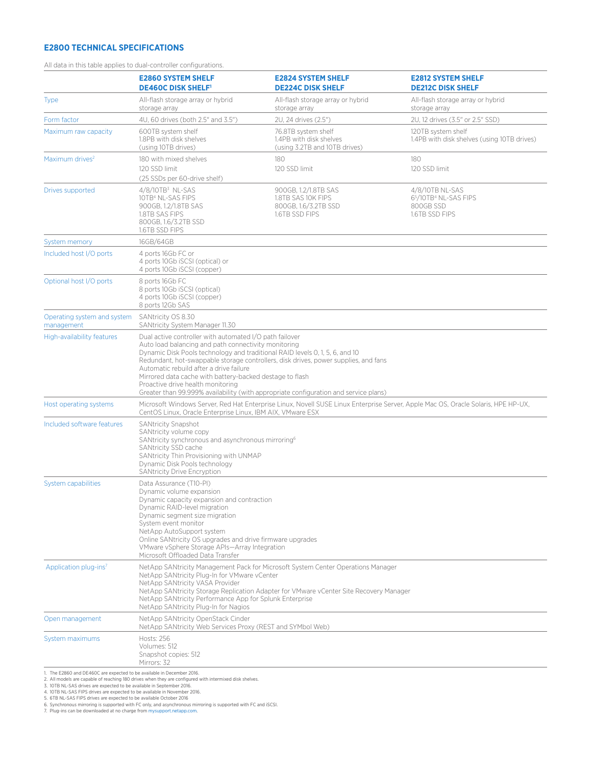### **E2800 TECHNICAL SPECIFICATIONS**

|  |  |  |  | All data in this table applies to dual-controller configurations. |
|--|--|--|--|-------------------------------------------------------------------|
|--|--|--|--|-------------------------------------------------------------------|

|                                                                                           | <b>E2860 SYSTEM SHELF</b><br><b>DE460C DISK SHELF!</b>                                                                                                                                                                                                                                                                                                                      | <b>E2824 SYSTEM SHELF</b><br><b>DE224C DISK SHELF</b>                                                                                                                       | <b>E2812 SYSTEM SHELF</b><br><b>DE212C DISK SHELF</b>                              |  |  |  |
|-------------------------------------------------------------------------------------------|-----------------------------------------------------------------------------------------------------------------------------------------------------------------------------------------------------------------------------------------------------------------------------------------------------------------------------------------------------------------------------|-----------------------------------------------------------------------------------------------------------------------------------------------------------------------------|------------------------------------------------------------------------------------|--|--|--|
| <b>Type</b>                                                                               | All-flash storage array or hybrid<br>storage array                                                                                                                                                                                                                                                                                                                          | All-flash storage array or hybrid<br>storage array                                                                                                                          | All-flash storage array or hybrid<br>storage array                                 |  |  |  |
| Form factor                                                                               | 4U, 60 drives (both 2.5" and 3.5")                                                                                                                                                                                                                                                                                                                                          | 2U, 24 drives (2.5")                                                                                                                                                        | 2U. 12 drives (3.5" or 2.5" SSD)                                                   |  |  |  |
| Maximum raw capacity                                                                      | 600TB system shelf<br>1.8PB with disk shelves<br>(using 10TB drives)                                                                                                                                                                                                                                                                                                        | 76.8TB system shelf<br>1.4PB with disk shelves<br>(using 3.2TB and 10TB drives)                                                                                             | 120TB system shelf<br>1.4PB with disk shelves (using 10TB drives)                  |  |  |  |
| Maximum drives <sup>2</sup>                                                               | 180 with mixed shelves<br>120 SSD limit<br>(25 SSDs per 60-drive shelf)                                                                                                                                                                                                                                                                                                     | 180<br>120 SSD limit                                                                                                                                                        | 180<br>120 SSD limit                                                               |  |  |  |
| Drives supported                                                                          | $4/8/10TB3$ NL-SAS<br>10TB <sup>4</sup> NL-SAS FIPS<br>900GB, 1.2/1.8TB SAS<br>1.8TB SAS FIPS<br>800GB, 1.6/3.2TB SSD<br>1.6TB SSD FIPS                                                                                                                                                                                                                                     | 900GB, 1.2/1.8TB SAS<br>1.8TB SAS 10K FIPS<br>800GB, 1.6/3.2TB SSD<br>1.6TB SSD FIPS                                                                                        | 4/8/10TB NL-SAS<br>65/10TB <sup>4</sup> NL-SAS FIPS<br>800GB SSD<br>1.6TB SSD FIPS |  |  |  |
| System memory                                                                             | 16GB/64GB                                                                                                                                                                                                                                                                                                                                                                   |                                                                                                                                                                             |                                                                                    |  |  |  |
| Included host I/O ports                                                                   | 4 ports 16Gb FC or<br>4 ports 10Gb iSCSI (optical) or<br>4 ports 10Gb iSCSI (copper)                                                                                                                                                                                                                                                                                        |                                                                                                                                                                             |                                                                                    |  |  |  |
| Optional host I/O ports                                                                   | 8 ports 16Gb FC<br>8 ports 10Gb iSCSI (optical)<br>4 ports 10Gb iSCSI (copper)<br>8 ports 12Gb SAS                                                                                                                                                                                                                                                                          |                                                                                                                                                                             |                                                                                    |  |  |  |
| Operating system and system<br>management                                                 | SANtricity OS 8.30<br>SANtricity System Manager 11.30                                                                                                                                                                                                                                                                                                                       |                                                                                                                                                                             |                                                                                    |  |  |  |
| High-availability features                                                                | Dual active controller with automated I/O path failover<br>Auto load balancing and path connectivity monitoring<br>Dynamic Disk Pools technology and traditional RAID levels 0, 1, 5, 6, and 10<br>Automatic rebuild after a drive failure<br>Mirrored data cache with battery-backed destage to flash<br>Proactive drive health monitoring                                 | Redundant, hot-swappable storage controllers, disk drives, power supplies, and fans<br>Greater than 99.999% availability (with appropriate configuration and service plans) |                                                                                    |  |  |  |
| Host operating systems                                                                    | Microsoft Windows Server, Red Hat Enterprise Linux, Novell SUSE Linux Enterprise Server, Apple Mac OS, Oracle Solaris, HPE HP-UX,<br>CentOS Linux, Oracle Enterprise Linux, IBM AIX, VMware ESX                                                                                                                                                                             |                                                                                                                                                                             |                                                                                    |  |  |  |
| Included software features                                                                | <b>SANtricity Snapshot</b><br>SANtricity volume copy<br>SANtricity synchronous and asynchronous mirroring <sup>6</sup><br>SANtricity SSD cache<br>SANtricity Thin Provisioning with UNMAP<br>Dynamic Disk Pools technology<br>SANtricity Drive Encryption                                                                                                                   |                                                                                                                                                                             |                                                                                    |  |  |  |
| <b>System capabilities</b>                                                                | Data Assurance (T10-PI)<br>Dynamic volume expansion<br>Dynamic capacity expansion and contraction<br>Dynamic RAID-level migration<br>Dynamic segment size migration<br>System event monitor<br>NetApp AutoSupport system<br>Online SANtricity OS upgrades and drive firmware upgrades<br>VMware vSphere Storage APIs-Array Integration<br>Microsoft Offloaded Data Transfer |                                                                                                                                                                             |                                                                                    |  |  |  |
| Application plug-ins <sup>7</sup>                                                         | NetApp SANtricity Management Pack for Microsoft System Center Operations Manager<br>NetApp SANtricity Plug-In for VMware yCenter<br>NetApp SANtricity VASA Provider<br>NetApp SANtricity Storage Replication Adapter for VMware vCenter Site Recovery Manager<br>NetApp SANtricity Performance App for Splunk Enterprise<br>NetApp SANtricity Plug-In for Nagios            |                                                                                                                                                                             |                                                                                    |  |  |  |
| Open management                                                                           | NetApp SANtricity OpenStack Cinder<br>NetApp SANtricity Web Services Proxy (REST and SYMbol Web)                                                                                                                                                                                                                                                                            |                                                                                                                                                                             |                                                                                    |  |  |  |
| System maximums<br>1. The E2860 and DE460C are expected to be available in December 2016. | <b>Hosts: 256</b><br>Volumes: 512<br>Snapshot copies: 512<br>Mirrors: 32                                                                                                                                                                                                                                                                                                    |                                                                                                                                                                             |                                                                                    |  |  |  |

2. All models are capable of reaching 180 drives when they are configured with intermixed disk shelves.<br>3. 10TB NL-SAS drives are expected to be available in September 2016.<br>4. 10TB NL-SAS FIPS drives are expected to be av